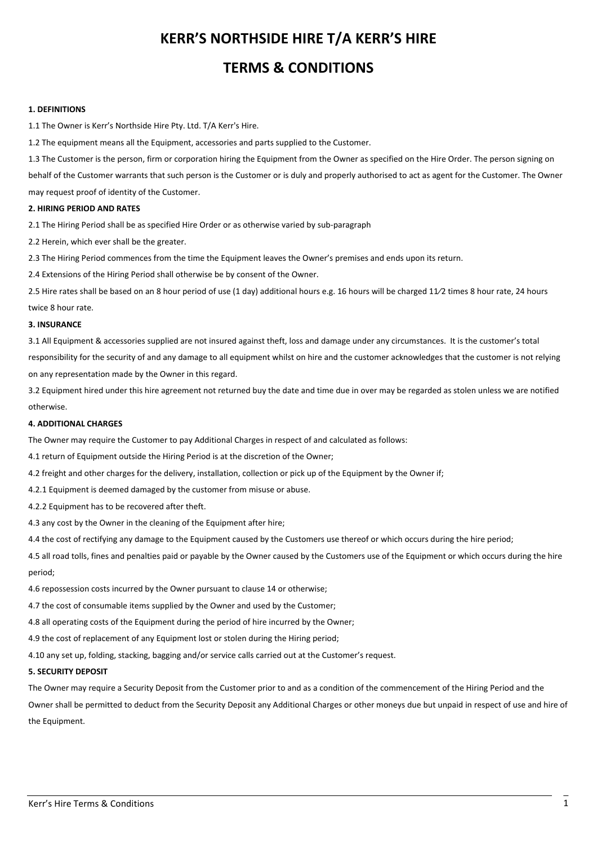# **KERR'S NORTHSIDE HIRE T/A KERR'S HIRE TERMS & CONDITIONS**

## **1. DEFINITIONS**

1.1 The Owner is Kerr's Northside Hire Pty. Ltd. T/A Kerr's Hire.

1.2 The equipment means all the Equipment, accessories and parts supplied to the Customer.

1.3 The Customer is the person, firm or corporation hiring the Equipment from the Owner as specified on the Hire Order. The person signing on behalf of the Customer warrants that such person is the Customer or is duly and properly authorised to act as agent for the Customer. The Owner

may request proof of identity of the Customer.

## **2. HIRING PERIOD AND RATES**

2.1 The Hiring Period shall be as specified Hire Order or as otherwise varied by sub-paragraph

2.2 Herein, which ever shall be the greater.

2.3 The Hiring Period commences from the time the Equipment leaves the Owner's premises and ends upon its return.

2.4 Extensions of the Hiring Period shall otherwise be by consent of the Owner.

2.5 Hire rates shall be based on an 8 hour period of use (1 day) additional hours e.g. 16 hours will be charged 11/2 times 8 hour rate, 24 hours twice 8 hour rate.

## **3. INSURANCE**

3.1 All Equipment & accessories supplied are not insured against theft, loss and damage under any circumstances. It is the customer's total responsibility for the security of and any damage to all equipment whilst on hire and the customer acknowledges that the customer is not relying on any representation made by the Owner in this regard.

3.2 Equipment hired under this hire agreement not returned buy the date and time due in over may be regarded as stolen unless we are notified otherwise.

## **4. ADDITIONAL CHARGES**

The Owner may require the Customer to pay Additional Charges in respect of and calculated as follows:

4.1 return of Equipment outside the Hiring Period is at the discretion of the Owner;

4.2 freight and other charges for the delivery, installation, collection or pick up of the Equipment by the Owner if;

4.2.1 Equipment is deemed damaged by the customer from misuse or abuse.

4.2.2 Equipment has to be recovered after theft.

4.3 any cost by the Owner in the cleaning of the Equipment after hire;

4.4 the cost of rectifying any damage to the Equipment caused by the Customers use thereof or which occurs during the hire period;

4.5 all road tolls, fines and penalties paid or payable by the Owner caused by the Customers use of the Equipment or which occurs during the hire period;

4.6 repossession costs incurred by the Owner pursuant to clause 14 or otherwise;

4.7 the cost of consumable items supplied by the Owner and used by the Customer;

4.8 all operating costs of the Equipment during the period of hire incurred by the Owner;

4.9 the cost of replacement of any Equipment lost or stolen during the Hiring period;

4.10 any set up, folding, stacking, bagging and/or service calls carried out at the Customer's request.

## **5. SECURITY DEPOSIT**

The Owner may require a Security Deposit from the Customer prior to and as a condition of the commencement of the Hiring Period and the Owner shall be permitted to deduct from the Security Deposit any Additional Charges or other moneys due but unpaid in respect of use and hire of the Equipment.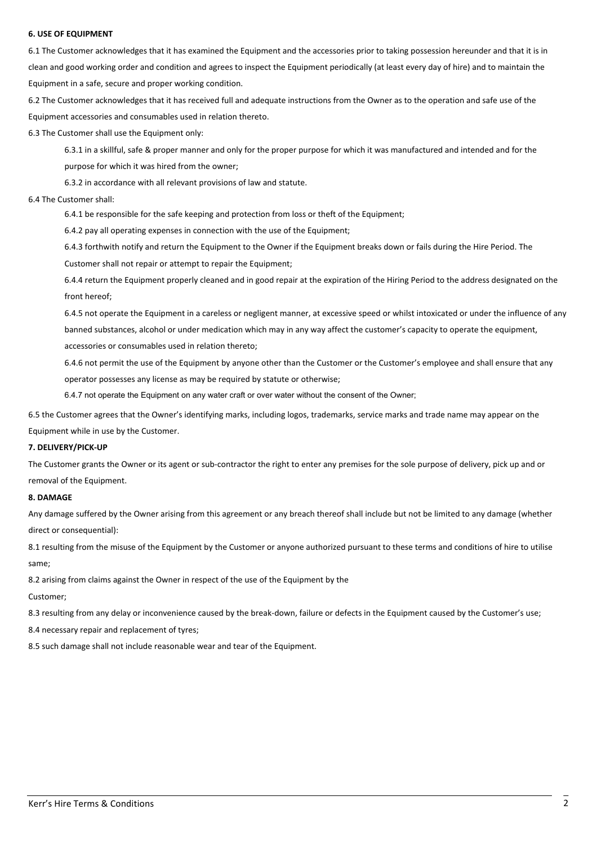## **6. USE OF EQUIPMENT**

6.1 The Customer acknowledges that it has examined the Equipment and the accessories prior to taking possession hereunder and that it is in clean and good working order and condition and agrees to inspect the Equipment periodically (at least every day of hire) and to maintain the Equipment in a safe, secure and proper working condition.

6.2 The Customer acknowledges that it has received full and adequate instructions from the Owner as to the operation and safe use of the Equipment accessories and consumables used in relation thereto.

6.3 The Customer shall use the Equipment only:

6.3.1 in a skillful, safe & proper manner and only for the proper purpose for which it was manufactured and intended and for the purpose for which it was hired from the owner;

6.3.2 in accordance with all relevant provisions of law and statute.

#### 6.4 The Customer shall:

6.4.1 be responsible for the safe keeping and protection from loss or theft of the Equipment;

6.4.2 pay all operating expenses in connection with the use of the Equipment;

6.4.3 forthwith notify and return the Equipment to the Owner if the Equipment breaks down or fails during the Hire Period. The

Customer shall not repair or attempt to repair the Equipment;

6.4.4 return the Equipment properly cleaned and in good repair at the expiration of the Hiring Period to the address designated on the front hereof:

6.4.5 not operate the Equipment in a careless or negligent manner, at excessive speed or whilst intoxicated or under the influence of any banned substances, alcohol or under medication which may in any way affect the customer's capacity to operate the equipment, accessories or consumables used in relation thereto;

6.4.6 not permit the use of the Equipment by anyone other than the Customer or the Customer's employee and shall ensure that any operator possesses any license as may be required by statute or otherwise;

6.4.7 not operate the Equipment on any water craft or over water without the consent of the Owner;

6.5 the Customer agrees that the Owner's identifying marks, including logos, trademarks, service marks and trade name may appear on the Equipment while in use by the Customer.

## **7. DELIVERY/PICK-UP**

The Customer grants the Owner or its agent or sub-contractor the right to enter any premises for the sole purpose of delivery, pick up and or removal of the Equipment.

#### **8. DAMAGE**

Any damage suffered by the Owner arising from this agreement or any breach thereof shall include but not be limited to any damage (whether direct or consequential):

8.1 resulting from the misuse of the Equipment by the Customer or anyone authorized pursuant to these terms and conditions of hire to utilise same; 

8.2 arising from claims against the Owner in respect of the use of the Equipment by the

Customer; 

8.3 resulting from any delay or inconvenience caused by the break-down, failure or defects in the Equipment caused by the Customer's use;

8.4 necessary repair and replacement of tyres;

8.5 such damage shall not include reasonable wear and tear of the Equipment.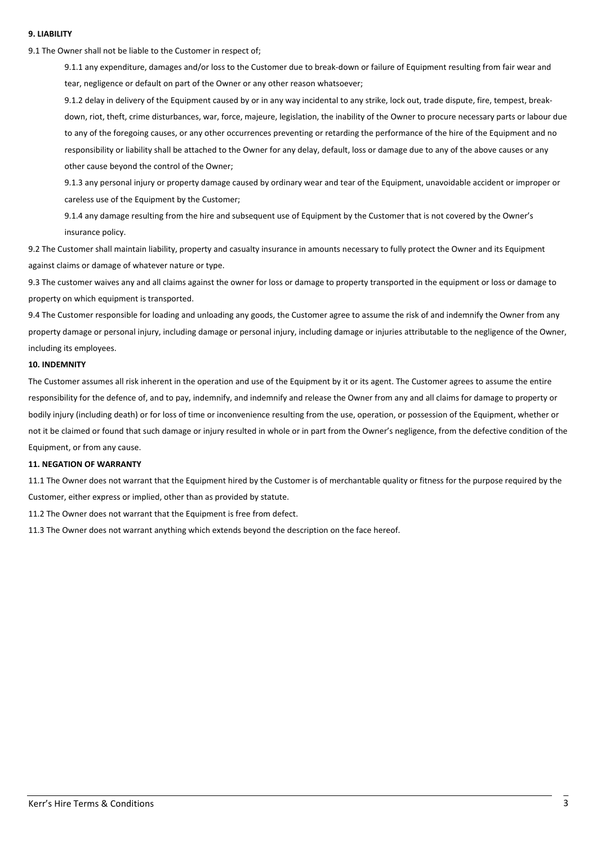## **9. LIABILITY**

9.1 The Owner shall not be liable to the Customer in respect of;

9.1.1 any expenditure, damages and/or loss to the Customer due to break-down or failure of Equipment resulting from fair wear and tear, negligence or default on part of the Owner or any other reason whatsoever;

9.1.2 delay in delivery of the Equipment caused by or in any way incidental to any strike, lock out, trade dispute, fire, tempest, breakdown, riot, theft, crime disturbances, war, force, majeure, legislation, the inability of the Owner to procure necessary parts or labour due to any of the foregoing causes, or any other occurrences preventing or retarding the performance of the hire of the Equipment and no responsibility or liability shall be attached to the Owner for any delay, default, loss or damage due to any of the above causes or any other cause beyond the control of the Owner;

9.1.3 any personal injury or property damage caused by ordinary wear and tear of the Equipment, unavoidable accident or improper or careless use of the Equipment by the Customer;

9.1.4 any damage resulting from the hire and subsequent use of Equipment by the Customer that is not covered by the Owner's insurance policy.

9.2 The Customer shall maintain liability, property and casualty insurance in amounts necessary to fully protect the Owner and its Equipment against claims or damage of whatever nature or type.

9.3 The customer waives any and all claims against the owner for loss or damage to property transported in the equipment or loss or damage to property on which equipment is transported.

9.4 The Customer responsible for loading and unloading any goods, the Customer agree to assume the risk of and indemnify the Owner from any property damage or personal injury, including damage or personal injury, including damage or injuries attributable to the negligence of the Owner, including its employees.

#### **10. INDEMNITY**

The Customer assumes all risk inherent in the operation and use of the Equipment by it or its agent. The Customer agrees to assume the entire responsibility for the defence of, and to pay, indemnify, and indemnify and release the Owner from any and all claims for damage to property or bodily injury (including death) or for loss of time or inconvenience resulting from the use, operation, or possession of the Equipment, whether or not it be claimed or found that such damage or injury resulted in whole or in part from the Owner's negligence, from the defective condition of the Equipment, or from any cause.

#### **11. NEGATION OF WARRANTY**

11.1 The Owner does not warrant that the Equipment hired by the Customer is of merchantable quality or fitness for the purpose required by the Customer, either express or implied, other than as provided by statute.

11.2 The Owner does not warrant that the Equipment is free from defect.

11.3 The Owner does not warrant anything which extends beyond the description on the face hereof.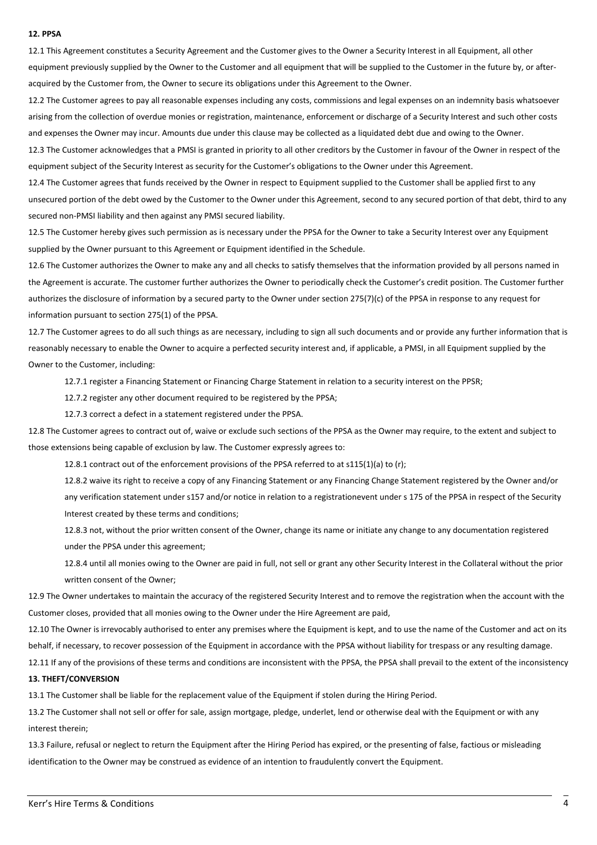## **12. PPSA**

12.1 This Agreement constitutes a Security Agreement and the Customer gives to the Owner a Security Interest in all Equipment, all other equipment previously supplied by the Owner to the Customer and all equipment that will be supplied to the Customer in the future by, or afteracquired by the Customer from, the Owner to secure its obligations under this Agreement to the Owner.

12.2 The Customer agrees to pay all reasonable expenses including any costs, commissions and legal expenses on an indemnity basis whatsoever arising from the collection of overdue monies or registration, maintenance, enforcement or discharge of a Security Interest and such other costs and expenses the Owner may incur. Amounts due under this clause may be collected as a liquidated debt due and owing to the Owner.

12.3 The Customer acknowledges that a PMSI is granted in priority to all other creditors by the Customer in favour of the Owner in respect of the equipment subject of the Security Interest as security for the Customer's obligations to the Owner under this Agreement.

12.4 The Customer agrees that funds received by the Owner in respect to Equipment supplied to the Customer shall be applied first to any unsecured portion of the debt owed by the Customer to the Owner under this Agreement, second to any secured portion of that debt, third to any secured non-PMSI liability and then against any PMSI secured liability.

12.5 The Customer hereby gives such permission as is necessary under the PPSA for the Owner to take a Security Interest over any Equipment supplied by the Owner pursuant to this Agreement or Equipment identified in the Schedule.

12.6 The Customer authorizes the Owner to make any and all checks to satisfy themselves that the information provided by all persons named in the Agreement is accurate. The customer further authorizes the Owner to periodically check the Customer's credit position. The Customer further authorizes the disclosure of information by a secured party to the Owner under section 275(7)(c) of the PPSA in response to any request for information pursuant to section 275(1) of the PPSA.

12.7 The Customer agrees to do all such things as are necessary, including to sign all such documents and or provide any further information that is reasonably necessary to enable the Owner to acquire a perfected security interest and, if applicable, a PMSI, in all Equipment supplied by the Owner to the Customer, including:

12.7.1 register a Financing Statement or Financing Charge Statement in relation to a security interest on the PPSR;

12.7.2 register any other document required to be registered by the PPSA;

12.7.3 correct a defect in a statement registered under the PPSA.

12.8 The Customer agrees to contract out of, waive or exclude such sections of the PPSA as the Owner may require, to the extent and subject to those extensions being capable of exclusion by law. The Customer expressly agrees to:

12.8.1 contract out of the enforcement provisions of the PPSA referred to at s115(1)(a) to (r);

12.8.2 waive its right to receive a copy of any Financing Statement or any Financing Change Statement registered by the Owner and/or any verification statement under s157 and/or notice in relation to a registrationevent under s 175 of the PPSA in respect of the Security Interest created by these terms and conditions;

12.8.3 not, without the prior written consent of the Owner, change its name or initiate any change to any documentation registered under the PPSA under this agreement:

12.8.4 until all monies owing to the Owner are paid in full, not sell or grant any other Security Interest in the Collateral without the prior written consent of the Owner:

12.9 The Owner undertakes to maintain the accuracy of the registered Security Interest and to remove the registration when the account with the Customer closes, provided that all monies owing to the Owner under the Hire Agreement are paid,

12.10 The Owner is irrevocably authorised to enter any premises where the Equipment is kept, and to use the name of the Customer and act on its behalf, if necessary, to recover possession of the Equipment in accordance with the PPSA without liability for trespass or any resulting damage.

12.11 If any of the provisions of these terms and conditions are inconsistent with the PPSA, the PPSA shall prevail to the extent of the inconsistency

## **13. THEFT/CONVERSION**

13.1 The Customer shall be liable for the replacement value of the Equipment if stolen during the Hiring Period.

13.2 The Customer shall not sell or offer for sale, assign mortgage, pledge, underlet, lend or otherwise deal with the Equipment or with any interest therein:

13.3 Failure, refusal or neglect to return the Equipment after the Hiring Period has expired, or the presenting of false, factious or misleading identification to the Owner may be construed as evidence of an intention to fraudulently convert the Equipment.